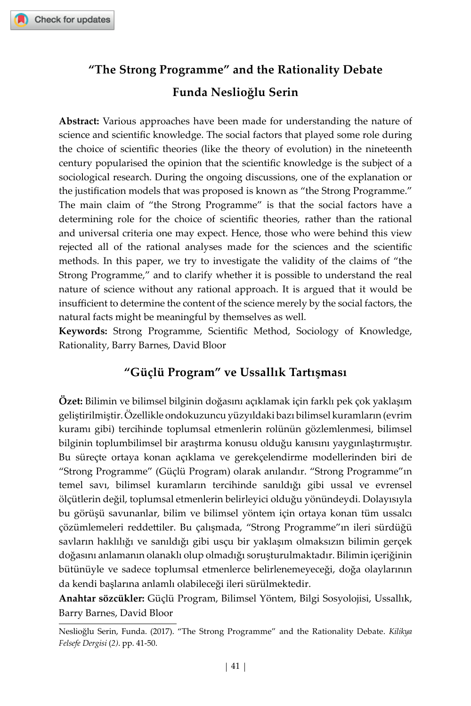## **"The Strong Programme" and the Rationality Debate Funda Neslioğlu Serin**

**Abstract:** Various approaches have been made for understanding the nature of science and scientific knowledge. The social factors that played some role during the choice of scientific theories (like the theory of evolution) in the nineteenth century popularised the opinion that the scientific knowledge is the subject of a sociological research. During the ongoing discussions, one of the explanation or the justification models that was proposed is known as "the Strong Programme." The main claim of "the Strong Programme" is that the social factors have a determining role for the choice of scientific theories, rather than the rational and universal criteria one may expect. Hence, those who were behind this view rejected all of the rational analyses made for the sciences and the scientific methods. In this paper, we try to investigate the validity of the claims of "the Strong Programme," and to clarify whether it is possible to understand the real nature of science without any rational approach. It is argued that it would be insufficient to determine the content of the science merely by the social factors, the natural facts might be meaningful by themselves as well.

**Keywords:** Strong Programme, Scientific Method, Sociology of Knowledge, Rationality, Barry Barnes, David Bloor

## **"Güçlü Program" ve Ussallık Tartışması**

**Özet:** Bilimin ve bilimsel bilginin doğasını açıklamak için farklı pek çok yaklaşım geliştirilmiştir. Özellikle ondokuzuncu yüzyıldaki bazı bilimsel kuramların (evrim kuramı gibi) tercihinde toplumsal etmenlerin rolünün gözlemlenmesi, bilimsel bilginin toplumbilimsel bir araştırma konusu olduğu kanısını yaygınlaştırmıştır. Bu süreçte ortaya konan açıklama ve gerekçelendirme modellerinden biri de "Strong Programme" (Güçlü Program) olarak anılandır. "Strong Programme"ın temel savı, bilimsel kuramların tercihinde sanıldığı gibi ussal ve evrensel ölçütlerin değil, toplumsal etmenlerin belirleyici olduğu yönündeydi. Dolayısıyla bu görüşü savunanlar, bilim ve bilimsel yöntem için ortaya konan tüm ussalcı çözümlemeleri reddettiler. Bu çalışmada, "Strong Programme"ın ileri sürdüğü savların haklılığı ve sanıldığı gibi usçu bir yaklaşım olmaksızın bilimin gerçek doğasını anlamanın olanaklı olup olmadığı soruşturulmaktadır. Bilimin içeriğinin bütünüyle ve sadece toplumsal etmenlerce belirlenemeyeceği, doğa olaylarının da kendi başlarına anlamlı olabileceği ileri sürülmektedir.

**Anahtar sözcükler:** Güçlü Program, Bilimsel Yöntem, Bilgi Sosyolojisi, Ussallık, Barry Barnes, David Bloor

Neslioğlu Serin, Funda. (2017). "The Strong Programme" and the Rationality Debate. *Kilikya Felsefe Dergisi* (*2)*. pp. 41-50.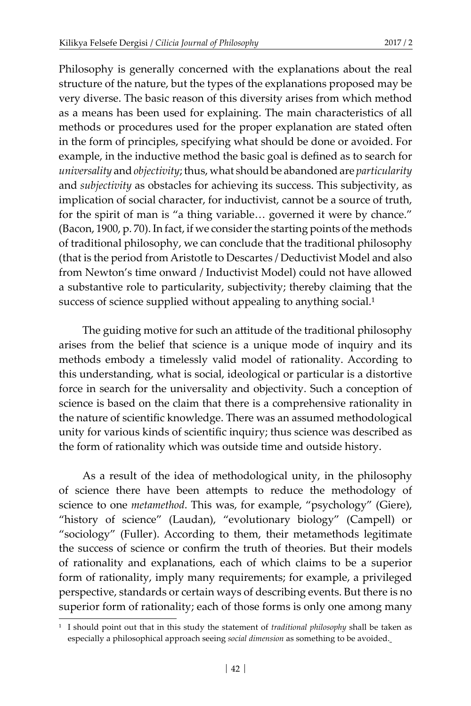Philosophy is generally concerned with the explanations about the real structure of the nature, but the types of the explanations proposed may be very diverse. The basic reason of this diversity arises from which method as a means has been used for explaining. The main characteristics of all methods or procedures used for the proper explanation are stated often in the form of principles, specifying what should be done or avoided. For example, in the inductive method the basic goal is defined as to search for *universality* and *objectivity*; thus, what should be abandoned are *particularity* and *subjectivity* as obstacles for achieving its success. This subjectivity, as implication of social character, for inductivist, cannot be a source of truth, for the spirit of man is "a thing variable… governed it were by chance." (Bacon, 1900, p. 70). In fact, if we consider the starting points of the methods of traditional philosophy, we can conclude that the traditional philosophy (that is the period from Aristotle to Descartes / Deductivist Model and also from Newton's time onward / Inductivist Model) could not have allowed a substantive role to particularity, subjectivity; thereby claiming that the success of science supplied without appealing to anything social.<sup>1</sup>

The guiding motive for such an attitude of the traditional philosophy arises from the belief that science is a unique mode of inquiry and its methods embody a timelessly valid model of rationality. According to this understanding, what is social, ideological or particular is a distortive force in search for the universality and objectivity. Such a conception of science is based on the claim that there is a comprehensive rationality in the nature of scientific knowledge. There was an assumed methodological unity for various kinds of scientific inquiry; thus science was described as the form of rationality which was outside time and outside history.

As a result of the idea of methodological unity, in the philosophy of science there have been attempts to reduce the methodology of science to one *metamethod*. This was, for example, "psychology" (Giere), "history of science" (Laudan), "evolutionary biology" (Campell) or "sociology" (Fuller). According to them, their metamethods legitimate the success of science or confirm the truth of theories. But their models of rationality and explanations, each of which claims to be a superior form of rationality, imply many requirements; for example, a privileged perspective, standards or certain ways of describing events. But there is no superior form of rationality; each of those forms is only one among many

<sup>&</sup>lt;sup>1</sup> I should point out that in this study the statement of *traditional philosophy* shall be taken as especially a philosophical approach seeing *social dimension* as something to be avoided.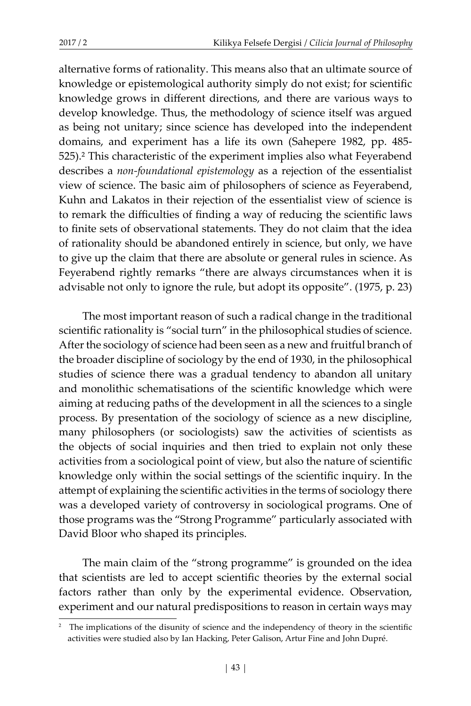alternative forms of rationality. This means also that an ultimate source of knowledge or epistemological authority simply do not exist; for scientific knowledge grows in different directions, and there are various ways to develop knowledge. Thus, the methodology of science itself was argued as being not unitary; since science has developed into the independent domains, and experiment has a life its own (Sahepere 1982, pp. 485- 525).2 This characteristic of the experiment implies also what Feyerabend describes a *non-foundational epistemology* as a rejection of the essentialist view of science. The basic aim of philosophers of science as Feyerabend, Kuhn and Lakatos in their rejection of the essentialist view of science is to remark the difficulties of finding a way of reducing the scientific laws to finite sets of observational statements. They do not claim that the idea of rationality should be abandoned entirely in science, but only, we have to give up the claim that there are absolute or general rules in science. As Feyerabend rightly remarks "there are always circumstances when it is advisable not only to ignore the rule, but adopt its opposite". (1975, p. 23)

The most important reason of such a radical change in the traditional scientific rationality is "social turn" in the philosophical studies of science. After the sociology of science had been seen as a new and fruitful branch of the broader discipline of sociology by the end of 1930, in the philosophical studies of science there was a gradual tendency to abandon all unitary and monolithic schematisations of the scientific knowledge which were aiming at reducing paths of the development in all the sciences to a single process. By presentation of the sociology of science as a new discipline, many philosophers (or sociologists) saw the activities of scientists as the objects of social inquiries and then tried to explain not only these activities from a sociological point of view, but also the nature of scientific knowledge only within the social settings of the scientific inquiry. In the attempt of explaining the scientific activities in the terms of sociology there was a developed variety of controversy in sociological programs. One of those programs was the "Strong Programme" particularly associated with David Bloor who shaped its principles.

The main claim of the "strong programme" is grounded on the idea that scientists are led to accept scientific theories by the external social factors rather than only by the experimental evidence. Observation, experiment and our natural predispositions to reason in certain ways may

<sup>&</sup>lt;sup>2</sup> The implications of the disunity of science and the independency of theory in the scientific activities were studied also by Ian Hacking, Peter Galison, Artur Fine and John Dupré.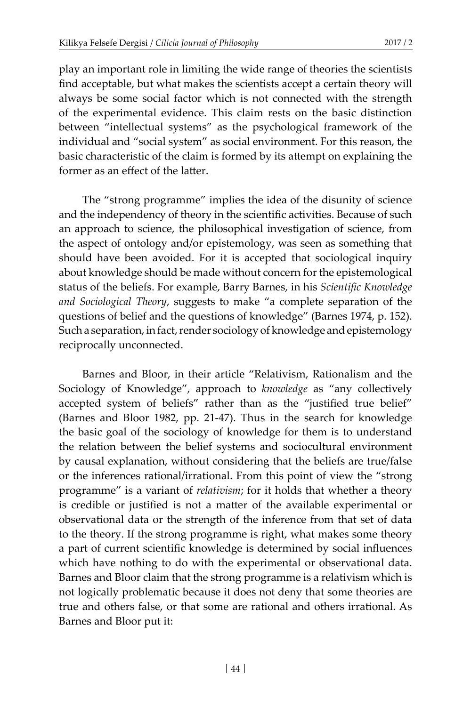play an important role in limiting the wide range of theories the scientists find acceptable, but what makes the scientists accept a certain theory will always be some social factor which is not connected with the strength of the experimental evidence. This claim rests on the basic distinction between "intellectual systems" as the psychological framework of the individual and "social system" as social environment. For this reason, the basic characteristic of the claim is formed by its attempt on explaining the former as an effect of the latter.

The "strong programme" implies the idea of the disunity of science and the independency of theory in the scientific activities. Because of such an approach to science, the philosophical investigation of science, from the aspect of ontology and/or epistemology, was seen as something that should have been avoided. For it is accepted that sociological inquiry about knowledge should be made without concern for the epistemological status of the beliefs. For example, Barry Barnes, in his *Scientific Knowledge and Sociological Theory*, suggests to make "a complete separation of the questions of belief and the questions of knowledge" (Barnes 1974, p. 152). Such a separation, in fact, render sociology of knowledge and epistemology reciprocally unconnected.

Barnes and Bloor, in their article "Relativism, Rationalism and the Sociology of Knowledge", approach to *knowledge* as "any collectively accepted system of beliefs" rather than as the "justified true belief" (Barnes and Bloor 1982, pp. 21-47). Thus in the search for knowledge the basic goal of the sociology of knowledge for them is to understand the relation between the belief systems and sociocultural environment by causal explanation, without considering that the beliefs are true/false or the inferences rational/irrational. From this point of view the "strong programme" is a variant of *relativism*; for it holds that whether a theory is credible or justified is not a matter of the available experimental or observational data or the strength of the inference from that set of data to the theory. If the strong programme is right, what makes some theory a part of current scientific knowledge is determined by social influences which have nothing to do with the experimental or observational data. Barnes and Bloor claim that the strong programme is a relativism which is not logically problematic because it does not deny that some theories are true and others false, or that some are rational and others irrational. As Barnes and Bloor put it: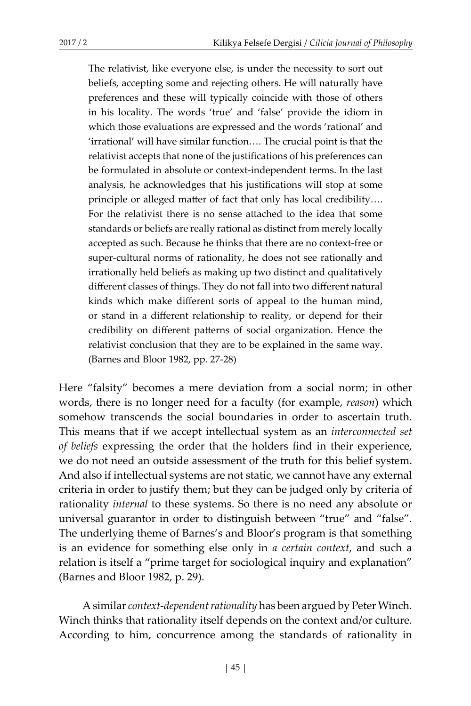The relativist, like everyone else, is under the necessity to sort out beliefs, accepting some and rejecting others. He will naturally have preferences and these will typically coincide with those of others in his locality. The words 'true' and 'false' provide the idiom in which those evaluations are expressed and the words 'rational' and 'irrational' will have similar function…. The crucial point is that the relativist accepts that none of the justifications of his preferences can be formulated in absolute or context-independent terms. In the last analysis, he acknowledges that his justifications will stop at some principle or alleged matter of fact that only has local credibility…. For the relativist there is no sense attached to the idea that some standards or beliefs are really rational as distinct from merely locally accepted as such. Because he thinks that there are no context-free or super-cultural norms of rationality, he does not see rationally and irrationally held beliefs as making up two distinct and qualitatively different classes of things. They do not fall into two different natural kinds which make different sorts of appeal to the human mind, or stand in a different relationship to reality, or depend for their credibility on different patterns of social organization. Hence the relativist conclusion that they are to be explained in the same way. (Barnes and Bloor 1982, pp. 27-28)

Here "falsity" becomes a mere deviation from a social norm; in other words, there is no longer need for a faculty (for example, *reason*) which somehow transcends the social boundaries in order to ascertain truth. This means that if we accept intellectual system as an *interconnected set of beliefs* expressing the order that the holders find in their experience, we do not need an outside assessment of the truth for this belief system. And also if intellectual systems are not static, we cannot have any external criteria in order to justify them; but they can be judged only by criteria of rationality *internal* to these systems. So there is no need any absolute or universal guarantor in order to distinguish between "true" and "false". The underlying theme of Barnes's and Bloor's program is that something is an evidence for something else only in *a certain context*, and such a relation is itself a "prime target for sociological inquiry and explanation" (Barnes and Bloor 1982, p. 29).

A similar *context-dependent rationality* has been argued by Peter Winch. Winch thinks that rationality itself depends on the context and/or culture. According to him, concurrence among the standards of rationality in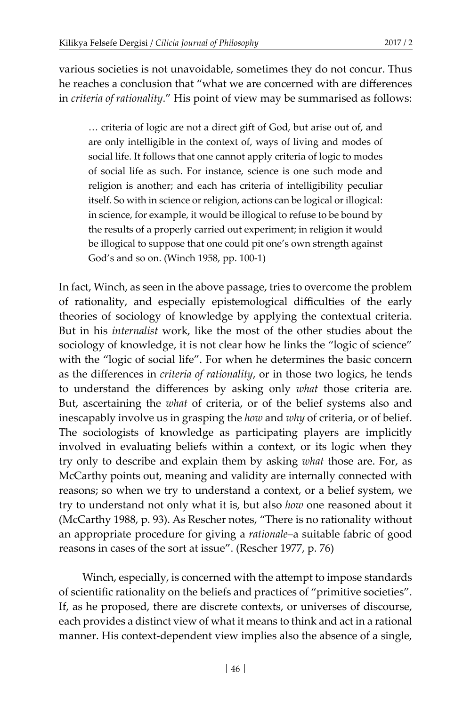various societies is not unavoidable, sometimes they do not concur. Thus he reaches a conclusion that "what we are concerned with are differences in *criteria of rationality*." His point of view may be summarised as follows:

… criteria of logic are not a direct gift of God, but arise out of, and are only intelligible in the context of, ways of living and modes of social life. It follows that one cannot apply criteria of logic to modes of social life as such. For instance, science is one such mode and religion is another; and each has criteria of intelligibility peculiar itself. So with in science or religion, actions can be logical or illogical: in science, for example, it would be illogical to refuse to be bound by the results of a properly carried out experiment; in religion it would be illogical to suppose that one could pit one's own strength against God's and so on. (Winch 1958, pp. 100-1)

In fact, Winch, as seen in the above passage, tries to overcome the problem of rationality, and especially epistemological difficulties of the early theories of sociology of knowledge by applying the contextual criteria. But in his *internalist* work, like the most of the other studies about the sociology of knowledge, it is not clear how he links the "logic of science" with the "logic of social life". For when he determines the basic concern as the differences in *criteria of rationality*, or in those two logics, he tends to understand the differences by asking only *what* those criteria are. But, ascertaining the *what* of criteria, or of the belief systems also and inescapably involve us in grasping the *how* and *why* of criteria, or of belief. The sociologists of knowledge as participating players are implicitly involved in evaluating beliefs within a context, or its logic when they try only to describe and explain them by asking *what* those are. For, as McCarthy points out, meaning and validity are internally connected with reasons; so when we try to understand a context, or a belief system, we try to understand not only what it is, but also *how* one reasoned about it (McCarthy 1988, p. 93). As Rescher notes, "There is no rationality without an appropriate procedure for giving a *rationale*–a suitable fabric of good reasons in cases of the sort at issue". (Rescher 1977, p. 76)

Winch, especially, is concerned with the attempt to impose standards of scientific rationality on the beliefs and practices of "primitive societies". If, as he proposed, there are discrete contexts, or universes of discourse, each provides a distinct view of what it means to think and act in a rational manner. His context-dependent view implies also the absence of a single,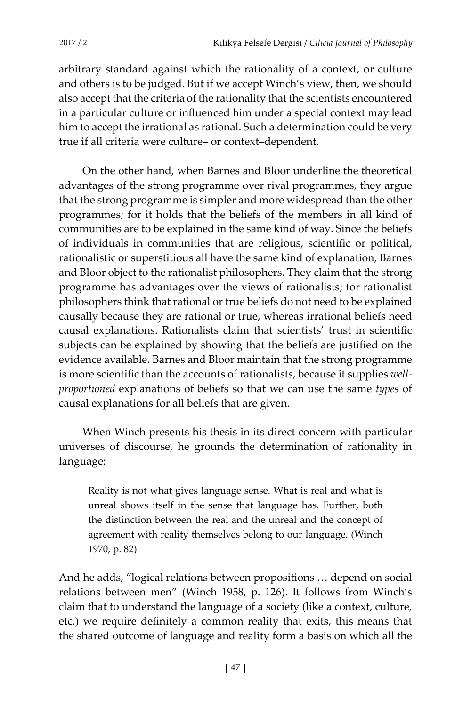arbitrary standard against which the rationality of a context, or culture and others is to be judged. But if we accept Winch's view, then, we should also accept that the criteria of the rationality that the scientists encountered in a particular culture or influenced him under a special context may lead him to accept the irrational as rational. Such a determination could be very true if all criteria were culture– or context–dependent.

On the other hand, when Barnes and Bloor underline the theoretical advantages of the strong programme over rival programmes, they argue that the strong programme is simpler and more widespread than the other programmes; for it holds that the beliefs of the members in all kind of communities are to be explained in the same kind of way. Since the beliefs of individuals in communities that are religious, scientific or political, rationalistic or superstitious all have the same kind of explanation, Barnes and Bloor object to the rationalist philosophers. They claim that the strong programme has advantages over the views of rationalists; for rationalist philosophers think that rational or true beliefs do not need to be explained causally because they are rational or true, whereas irrational beliefs need causal explanations. Rationalists claim that scientists' trust in scientific subjects can be explained by showing that the beliefs are justified on the evidence available. Barnes and Bloor maintain that the strong programme is more scientific than the accounts of rationalists, because it supplies *wellproportioned* explanations of beliefs so that we can use the same *types* of causal explanations for all beliefs that are given.

When Winch presents his thesis in its direct concern with particular universes of discourse, he grounds the determination of rationality in language:

Reality is not what gives language sense. What is real and what is unreal shows itself in the sense that language has. Further, both the distinction between the real and the unreal and the concept of agreement with reality themselves belong to our language. (Winch 1970, p. 82)

And he adds, "logical relations between propositions … depend on social relations between men" (Winch 1958, p. 126). It follows from Winch's claim that to understand the language of a society (like a context, culture, etc.) we require definitely a common reality that exits, this means that the shared outcome of language and reality form a basis on which all the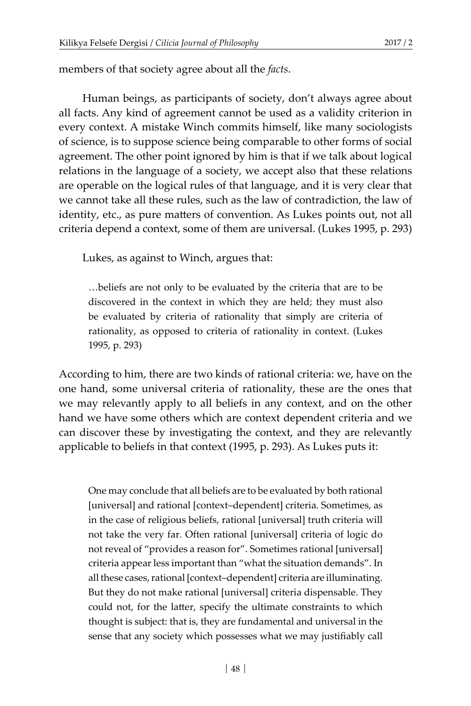members of that society agree about all the *facts*.

Human beings, as participants of society, don't always agree about all facts. Any kind of agreement cannot be used as a validity criterion in every context. A mistake Winch commits himself, like many sociologists of science, is to suppose science being comparable to other forms of social agreement. The other point ignored by him is that if we talk about logical relations in the language of a society, we accept also that these relations are operable on the logical rules of that language, and it is very clear that we cannot take all these rules, such as the law of contradiction, the law of identity, etc., as pure matters of convention. As Lukes points out, not all criteria depend a context, some of them are universal. (Lukes 1995, p. 293)

Lukes, as against to Winch, argues that:

…beliefs are not only to be evaluated by the criteria that are to be discovered in the context in which they are held; they must also be evaluated by criteria of rationality that simply are criteria of rationality, as opposed to criteria of rationality in context. (Lukes 1995, p. 293)

According to him, there are two kinds of rational criteria: we, have on the one hand, some universal criteria of rationality, these are the ones that we may relevantly apply to all beliefs in any context, and on the other hand we have some others which are context dependent criteria and we can discover these by investigating the context, and they are relevantly applicable to beliefs in that context (1995, p. 293). As Lukes puts it:

One may conclude that all beliefs are to be evaluated by both rational [universal] and rational [context–dependent] criteria. Sometimes, as in the case of religious beliefs, rational [universal] truth criteria will not take the very far. Often rational [universal] criteria of logic do not reveal of "provides a reason for". Sometimes rational [universal] criteria appear less important than "what the situation demands". In all these cases, rational [context–dependent] criteria are illuminating. But they do not make rational [universal] criteria dispensable. They could not, for the latter, specify the ultimate constraints to which thought is subject: that is, they are fundamental and universal in the sense that any society which possesses what we may justifiably call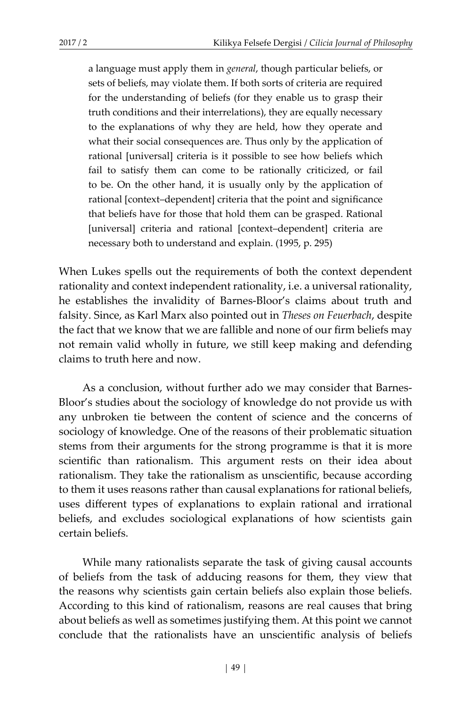a language must apply them in *general*, though particular beliefs, or sets of beliefs, may violate them. If both sorts of criteria are required for the understanding of beliefs (for they enable us to grasp their truth conditions and their interrelations), they are equally necessary to the explanations of why they are held, how they operate and what their social consequences are. Thus only by the application of rational [universal] criteria is it possible to see how beliefs which fail to satisfy them can come to be rationally criticized, or fail to be. On the other hand, it is usually only by the application of rational [context–dependent] criteria that the point and significance that beliefs have for those that hold them can be grasped. Rational [universal] criteria and rational [context-dependent] criteria are necessary both to understand and explain. (1995, p. 295)

When Lukes spells out the requirements of both the context dependent rationality and context independent rationality, i.e. a universal rationality, he establishes the invalidity of Barnes-Bloor's claims about truth and falsity. Since, as Karl Marx also pointed out in *Theses on Feuerbach*, despite the fact that we know that we are fallible and none of our firm beliefs may not remain valid wholly in future, we still keep making and defending claims to truth here and now.

As a conclusion, without further ado we may consider that Barnes-Bloor's studies about the sociology of knowledge do not provide us with any unbroken tie between the content of science and the concerns of sociology of knowledge. One of the reasons of their problematic situation stems from their arguments for the strong programme is that it is more scientific than rationalism. This argument rests on their idea about rationalism. They take the rationalism as unscientific, because according to them it uses reasons rather than causal explanations for rational beliefs, uses different types of explanations to explain rational and irrational beliefs, and excludes sociological explanations of how scientists gain certain beliefs.

While many rationalists separate the task of giving causal accounts of beliefs from the task of adducing reasons for them, they view that the reasons why scientists gain certain beliefs also explain those beliefs. According to this kind of rationalism, reasons are real causes that bring about beliefs as well as sometimes justifying them. At this point we cannot conclude that the rationalists have an unscientific analysis of beliefs